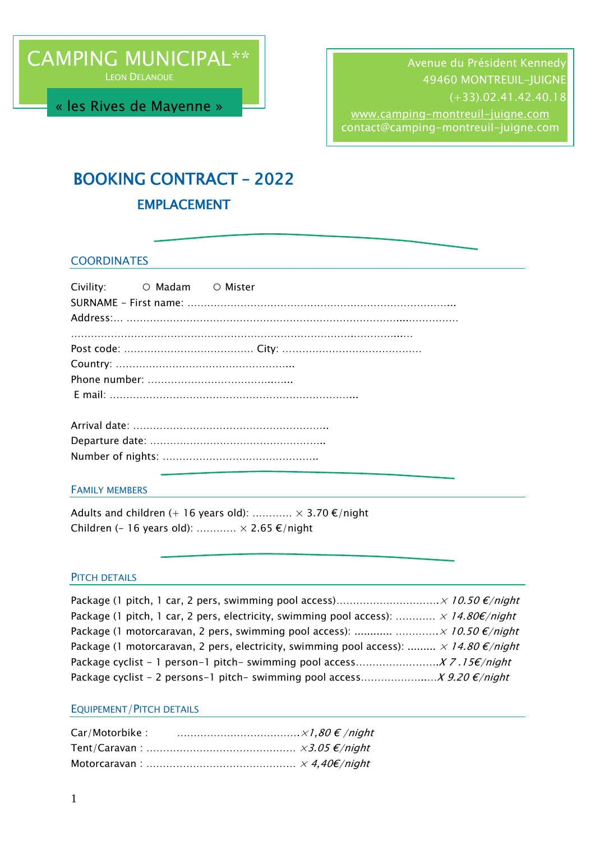LEON DELANOUE

« les Rives de Mayenne »

Avenue du Président Kennedy 49460 MONTREUIL-JUIGNE (+33).02.41.42.40.18 [www.camping-montreuil-juigne.com](http://www.camping-montreuil-juigne.com/)

contact@camping-montreuil-juigne.com

# BOOKING CONTRACT – 2022

# EMPLACEMENT

### **COORDINATES**

| Civility: O Madam O Mister |  |
|----------------------------|--|
|                            |  |
|                            |  |

#### FAMILY MEMBERS

Adults and children (+ 16 years old):  $\dots\dots\dots \times 3.70 \text{ } \epsilon/night$ Children (- 16 years old):  $\dots\dots\dots \times 2.65 \text{ } \epsilon$ /night

#### PITCH DETAILS

| Package (1 pitch, 1 car, 2 pers, electricity, swimming pool access): $\times$ 14.80 $\varepsilon$ /night |  |
|----------------------------------------------------------------------------------------------------------|--|
| Package (1 motorcaravan, 2 pers, swimming pool access):   10.50 $\epsilon$ /night                        |  |
| Package (1 motorcaravan, 2 pers, electricity, swimming pool access): $\times$ 14.80 $\epsilon$ /night    |  |
|                                                                                                          |  |
| Package cyclist - 2 persons-1 pitch- swimming pool access $X$ 9.20 $\epsilon$ /night                     |  |

#### EQUIPEMENT/PITCH DETAILS

| Car/Motorbike : |  |
|-----------------|--|
|                 |  |
|                 |  |